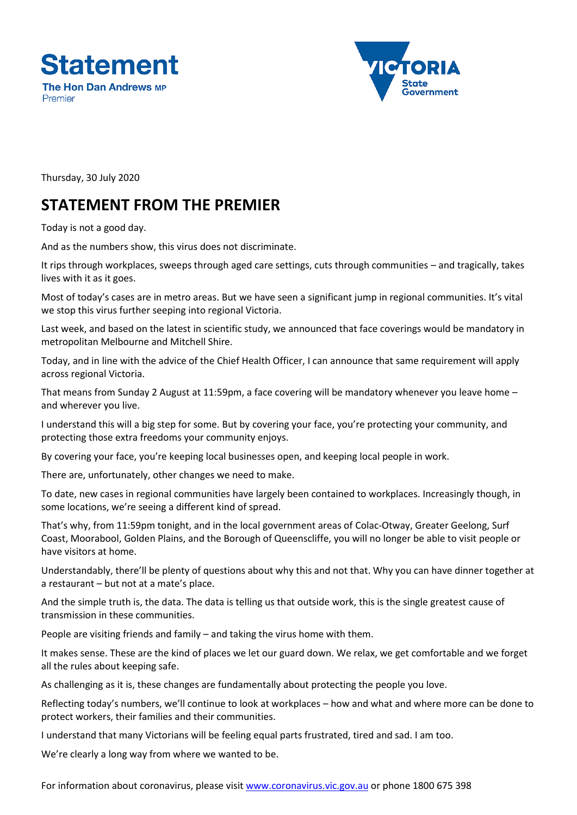



Thursday, 30 July 2020

## **STATEMENT FROM THE PREMIER**

Today is not a good day.

And as the numbers show, this virus does not discriminate.

It rips through workplaces, sweeps through aged care settings, cuts through communities – and tragically, takes lives with it as it goes.

Most of today's cases are in metro areas. But we have seen a significant jump in regional communities. It's vital we stop this virus further seeping into regional Victoria.

Last week, and based on the latest in scientific study, we announced that face coverings would be mandatory in metropolitan Melbourne and Mitchell Shire.

Today, and in line with the advice of the Chief Health Officer, I can announce that same requirement will apply across regional Victoria.

That means from Sunday 2 August at 11:59pm, a face covering will be mandatory whenever you leave home – and wherever you live.

I understand this will a big step for some. But by covering your face, you're protecting your community, and protecting those extra freedoms your community enjoys.

By covering your face, you're keeping local businesses open, and keeping local people in work.

There are, unfortunately, other changes we need to make.

To date, new cases in regional communities have largely been contained to workplaces. Increasingly though, in some locations, we're seeing a different kind of spread.

That's why, from 11:59pm tonight, and in the local government areas of Colac-Otway, Greater Geelong, Surf Coast, Moorabool, Golden Plains, and the Borough of Queenscliffe, you will no longer be able to visit people or have visitors at home.

Understandably, there'll be plenty of questions about why this and not that. Why you can have dinner together at a restaurant – but not at a mate's place.

And the simple truth is, the data. The data is telling us that outside work, this is the single greatest cause of transmission in these communities.

People are visiting friends and family – and taking the virus home with them.

It makes sense. These are the kind of places we let our guard down. We relax, we get comfortable and we forget all the rules about keeping safe.

As challenging as it is, these changes are fundamentally about protecting the people you love.

Reflecting today's numbers, we'll continue to look at workplaces – how and what and where more can be done to protect workers, their families and their communities.

I understand that many Victorians will be feeling equal parts frustrated, tired and sad. I am too.

We're clearly a long way from where we wanted to be.